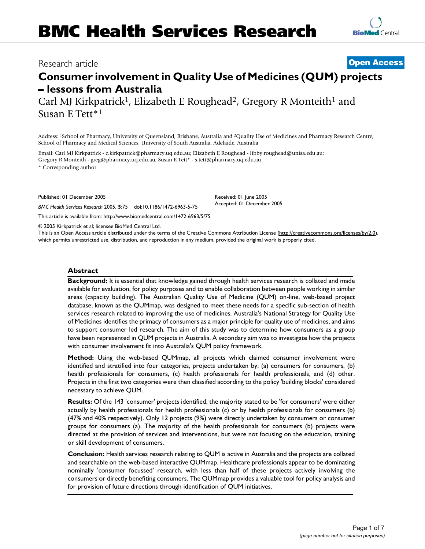# Research article **[Open Access](http://www.biomedcentral.com/info/about/charter/)**

# **Consumer involvement in Quality Use of Medicines (QUM) projects – lessons from Australia**

Carl MJ Kirkpatrick<sup>1</sup>, Elizabeth E Roughead<sup>2</sup>, Gregory R Monteith<sup>1</sup> and Susan E Tett<sup>\*1</sup>

Address: 1School of Pharmacy, University of Queensland, Brisbane, Australia and 2Quality Use of Medicines and Pharmacy Research Centre, School of Pharmacy and Medical Sciences, University of South Australia, Adelaide, Australia

Email: Carl MJ Kirkpatrick - c.kirkpatrick@pharmacy.uq.edu.au; Elizabeth E Roughead - libby.roughead@unisa.edu.au; Gregory R Monteith - greg@pharmacy.uq.edu.au; Susan E Tett\* - s.tett@pharmacy.uq.edu.au

\* Corresponding author

Published: 01 December 2005

*BMC Health Services Research* 2005, **5**:75 doi:10.1186/1472-6963-5-75

[This article is available from: http://www.biomedcentral.com/1472-6963/5/75](http://www.biomedcentral.com/1472-6963/5/75)

© 2005 Kirkpatrick et al; licensee BioMed Central Ltd.

This is an Open Access article distributed under the terms of the Creative Commons Attribution License [\(http://creativecommons.org/licenses/by/2.0\)](http://creativecommons.org/licenses/by/2.0), which permits unrestricted use, distribution, and reproduction in any medium, provided the original work is properly cited.

Received: 01 June 2005 Accepted: 01 December 2005

## **Abstract**

**Background:** It is essential that knowledge gained through health services research is collated and made available for evaluation, for policy purposes and to enable collaboration between people working in similar areas (capacity building). The Australian Quality Use of Medicine (QUM) on-line, web-based project database, known as the QUMmap, was designed to meet these needs for a specific sub-section of health services research related to improving the use of medicines. Australia's National Strategy for Quality Use of Medicines identifies the primacy of consumers as a major principle for quality use of medicines, and aims to support consumer led research. The aim of this study was to determine how consumers as a group have been represented in QUM projects in Australia. A secondary aim was to investigate how the projects with consumer involvement fit into Australia's QUM policy framework.

**Method:** Using the web-based QUMmap, all projects which claimed consumer involvement were identified and stratified into four categories, projects undertaken by; (a) consumers for consumers, (b) health professionals for consumers, (c) health professionals for health professionals, and (d) other. Projects in the first two categories were then classified according to the policy 'building blocks' considered necessary to achieve QUM.

**Results:** Of the 143 'consumer' projects identified, the majority stated to be 'for consumers' were either actually by health professionals for health professionals (c) or by health professionals for consumers (b) (47% and 40% respectively). Only 12 projects (9%) were directly undertaken by consumers or consumer groups for consumers (a). The majority of the health professionals for consumers (b) projects were directed at the provision of services and interventions, but were not focusing on the education, training or skill development of consumers.

**Conclusion:** Health services research relating to QUM is active in Australia and the projects are collated and searchable on the web-based interactive QUMmap. Healthcare professionals appear to be dominating nominally 'consumer focussed' research, with less than half of these projects actively involving the consumers or directly benefiting consumers. The QUMmap provides a valuable tool for policy analysis and for provision of future directions through identification of QUM initiatives.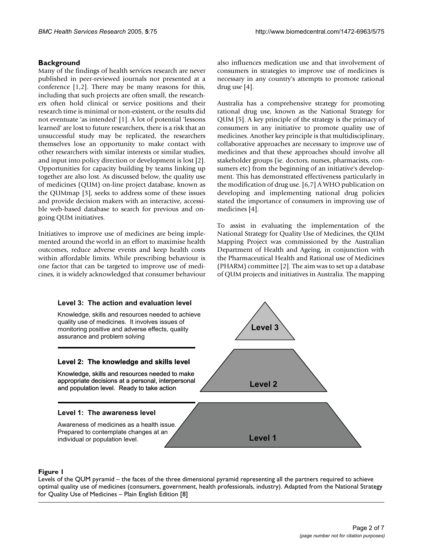# **Background**

Many of the findings of health services research are never published in peer-reviewed journals nor presented at a conference [1,2]. There may be many reasons for this, including that such projects are often small, the researchers often hold clinical or service positions and their research time is minimal or non-existent, or the results did not eventuate 'as intended' [1]. A lot of potential 'lessons learned' are lost to future researchers, there is a risk that an unsuccessful study may be replicated, the researchers themselves lose an opportunity to make contact with other researchers with similar interests or similar studies, and input into policy direction or development is lost [2]. Opportunities for capacity building by teams linking up together are also lost. As discussed below, the quality use of medicines (QUM) on-line project database, known as the QUMmap [3], seeks to address some of these issues and provide decision makers with an interactive, accessible web-based database to search for previous and ongoing QUM initiatives.

Initiatives to improve use of medicines are being implemented around the world in an effort to maximise health outcomes, reduce adverse events and keep health costs within affordable limits. While prescribing behaviour is one factor that can be targeted to improve use of medicines, it is widely acknowledged that consumer behaviour also influences medication use and that involvement of consumers in strategies to improve use of medicines is necessary in any country's attempts to promote rational drug use [4].

Australia has a comprehensive strategy for promoting rational drug use, known as the National Strategy for QUM [5]. A key principle of the strategy is the primacy of consumers in any initiative to promote quality use of medicines. Another key principle is that multidisciplinary, collaborative approaches are necessary to improve use of medicines and that these approaches should involve all stakeholder groups (ie. doctors, nurses, pharmacists, consumers etc) from the beginning of an initiative's development. This has demonstrated effectiveness particularly in the modification of drug use. [6,7] A WHO publication on developing and implementing national drug policies stated the importance of consumers in improving use of medicines [4].

To assist in evaluating the implementation of the National Strategy for Quality Use of Medicines, the QUM Mapping Project was commissioned by the Australian Department of Health and Ageing, in conjunction with the Pharmaceutical Health and Rational use of Medicines (PHARM) committee [2]. The aim was to set up a database of QUM projects and initiatives in Australia. The mapping



### Levels of the QUM pyramid – the faces of optimal quality use of medicines (consumers, go **Figure 1** the three dimensional pyramid representing vernment, health professionals, industry) all the partners required to achieve

Levels of the QUM pyramid – the faces of the three dimensional pyramid representing all the partners required to achieve optimal quality use of medicines (consumers, government, health professionals, industry). Adapted from the National Strategy for Quality Use of Medicines – Plain English Edition [8]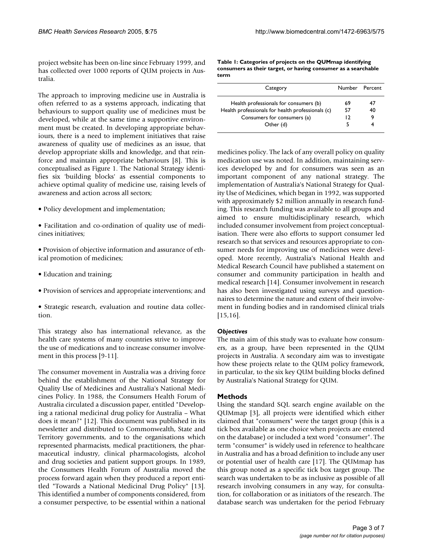project website has been on-line since February 1999, and has collected over 1000 reports of QUM projects in Australia.

The approach to improving medicine use in Australia is often referred to as a systems approach, indicating that behaviours to support quality use of medicines must be developed, while at the same time a supportive environment must be created. In developing appropriate behaviours, there is a need to implement initiatives that raise awareness of quality use of medicines as an issue, that develop appropriate skills and knowledge, and that reinforce and maintain appropriate behaviours [8]. This is conceptualised as Figure 1. The National Strategy identifies six 'building blocks' as essential components to achieve optimal quality of medicine use, raising levels of awareness and action across all sectors;

- Policy development and implementation;
- Facilitation and co-ordination of quality use of medicines initiatives;
- Provision of objective information and assurance of ethical promotion of medicines;
- Education and training;
- Provision of services and appropriate interventions; and
- Strategic research, evaluation and routine data collection.

This strategy also has international relevance, as the health care systems of many countries strive to improve the use of medications and to increase consumer involvement in this process [9-11].

The consumer movement in Australia was a driving force behind the establishment of the National Strategy for Quality Use of Medicines and Australia's National Medicines Policy. In 1988, the Consumers Health Forum of Australia circulated a discussion paper, entitled "Developing a rational medicinal drug policy for Australia – What does it mean?" [12]. This document was published in its newsletter and distributed to Commonwealth, State and Territory governments, and to the organisations which represented pharmacists, medical practitioners, the pharmaceutical industry, clinical pharmacologists, alcohol and drug societies and patient support groups. In 1989, the Consumers Health Forum of Australia moved the process forward again when they produced a report entitled "Towards a National Medicinal Drug Policy" [13]. This identified a number of components considered, from a consumer perspective, to be essential within a national

**Table 1: Categories of projects on the QUMmap identifying consumers as their target, or having consumer as a searchable term**

| Category                                          | Number Percent |    |
|---------------------------------------------------|----------------|----|
| Health professionals for consumers (b)            | 69             |    |
| Health professionals for health professionals (c) | 57             | 40 |
| Consumers for consumers (a)                       | 12             |    |
| Other (d)                                         |                |    |

medicines policy. The lack of any overall policy on quality medication use was noted. In addition, maintaining services developed by and for consumers was seen as an important component of any national strategy. The implementation of Australia's National Strategy for Quality Use of Medicines, which began in 1992, was supported with approximately \$2 million annually in research funding. This research funding was available to all groups and aimed to ensure multidisciplinary research, which included consumer involvement from project conceptualisation. There were also efforts to support consumer led research so that services and resources appropriate to consumer needs for improving use of medicines were developed. More recently, Australia's National Health and Medical Research Council have published a statement on consumer and community participation in health and medical research [14]. Consumer involvement in research has also been investigated using surveys and questionnaires to determine the nature and extent of their involvement in funding bodies and in randomised clinical trials [15,16].

### *Objectives*

The main aim of this study was to evaluate how consumers, as a group, have been represented in the QUM projects in Australia. A secondary aim was to investigate how these projects relate to the QUM policy framework, in particular, to the six key QUM building blocks defined by Australia's National Strategy for QUM.

### **Methods**

Using the standard SQL search engine available on the QUMmap [3], all projects were identified which either claimed that "consumers" were the target group (this is a tick box available as one choice when projects are entered on the database) or included a text word "consumer". The term "consumer" is widely used in reference to healthcare in Australia and has a broad definition to include any user or potential user of health care [17]. The QUMmap has this group noted as a specific tick box target group. The search was undertaken to be as inclusive as possible of all research involving consumers in any way, for consultation, for collaboration or as initiators of the research. The database search was undertaken for the period February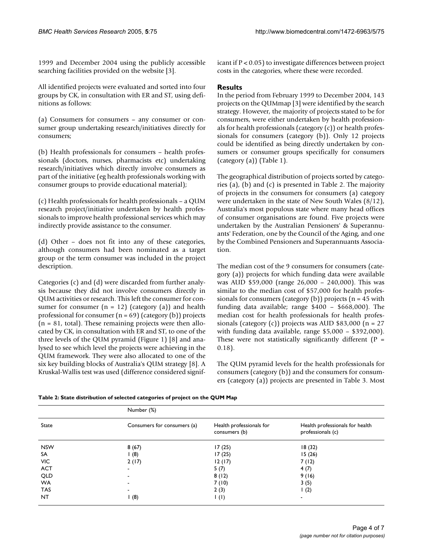1999 and December 2004 using the publicly accessible searching facilities provided on the website [3].

All identified projects were evaluated and sorted into four groups by CK, in consultation with ER and ST, using definitions as follows:

(a) Consumers for consumers – any consumer or consumer group undertaking research/initiatives directly for consumers;

(b) Health professionals for consumers – health professionals (doctors, nurses, pharmacists etc) undertaking research/initiatives which directly involve consumers as part of the initiative (eg health professionals working with consumer groups to provide educational material);

(c) Health professionals for health professionals – a QUM research project/initiative undertaken by health professionals to improve health professional services which may indirectly provide assistance to the consumer.

(d) Other – does not fit into any of these categories, although consumers had been nominated as a target group or the term consumer was included in the project description.

Categories (c) and (d) were discarded from further analysis because they did not involve consumers directly in QUM activities or research. This left the consumer for consumer for consumer  $(n = 12)$  (category (a)) and health professional for consumer  $(n = 69)$  (category  $(b)$ ) projects  $(n = 81, total)$ . These remaining projects were then allocated by CK, in consultation with ER and ST, to one of the three levels of the QUM pyramid (Figure 1) [8] and analysed to see which level the projects were achieving in the QUM framework. They were also allocated to one of the six key building blocks of Australia's QUM strategy [8]. A Kruskal-Wallis test was used (difference considered significant if P < 0.05) to investigate differences between project costs in the categories, where these were recorded.

# **Results**

In the period from February 1999 to December 2004, 143 projects on the QUMmap [3] were identified by the search strategy. However, the majority of projects stated to be for consumers, were either undertaken by health professionals for health professionals (category (c)) or health professionals for consumers (category (b)). Only 12 projects could be identified as being directly undertaken by consumers or consumer groups specifically for consumers (category (a)) (Table 1).

The geographical distribution of projects sorted by categories (a), (b) and (c) is presented in Table 2. The majority of projects in the consumers for consumers (a) category were undertaken in the state of New South Wales (8/12), Australia's most populous state where many head offices of consumer organisations are found. Five projects were undertaken by the Australian Pensioners' & Superannuants' Federation, one by the Council of the Aging, and one by the Combined Pensioners and Superannuants Association.

The median cost of the 9 consumers for consumers (category (a)) projects for which funding data were available was AUD \$59,000 (range 26,000 – 240,000). This was similar to the median cost of \$57,000 for health professionals for consumers (category  $(b)$ ) projects (n = 45 with funding data available; range \$400 – \$668,000). The median cost for health professionals for health professionals (category  $(c)$ ) projects was AUD \$83,000 (n = 27 with funding data available, range \$5,000 – \$392,000). These were not statistically significantly different ( $P =$ 0.18).

The QUM pyramid levels for the health professionals for consumers (category (b)) and the consumers for consumers (category (a)) projects are presented in Table 3. Most

|            | Number (%)                  |                                           |                                                      |  |
|------------|-----------------------------|-------------------------------------------|------------------------------------------------------|--|
| State      | Consumers for consumers (a) | Health professionals for<br>consumers (b) | Health professionals for health<br>professionals (c) |  |
| <b>NSW</b> | 8(67)                       | 17(25)                                    | 18(32)                                               |  |
| SA         | $\vert$ (8)                 | 17(25)                                    | 15(26)                                               |  |
| <b>VIC</b> | 2(17)                       | 12(17)                                    | 7(12)                                                |  |
| <b>ACT</b> |                             | 5(7)                                      | 4(7)                                                 |  |
| QLD        | $\blacksquare$              | 8(12)                                     | 9(16)                                                |  |
| <b>WA</b>  | $\blacksquare$              | 7(10)                                     | 3(5)                                                 |  |
| <b>TAS</b> | $\overline{\phantom{0}}$    | 2(3)                                      | l (2)                                                |  |
| <b>NT</b>  | (8)                         | $\mathsf{I}(\mathsf{I})$                  |                                                      |  |

**Table 2: State distribution of selected categories of project on the QUM Map**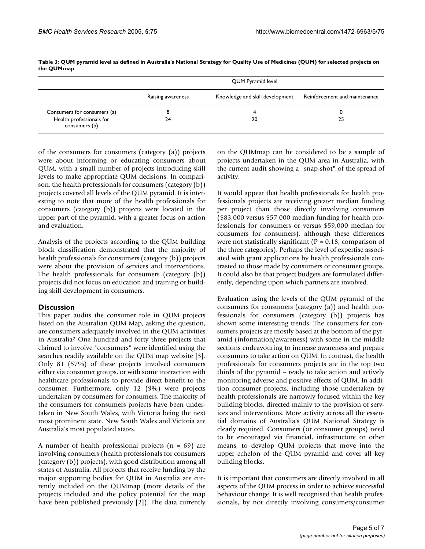|                                           | QUM Pyramid level |                                 |                               |  |
|-------------------------------------------|-------------------|---------------------------------|-------------------------------|--|
|                                           | Raising awareness | Knowledge and skill development | Reinforcement and maintenance |  |
| Consumers for consumers (a)               |                   |                                 |                               |  |
| Health professionals for<br>consumers (b) | 24                | 20                              | 25                            |  |

**Table 3: QUM pyramid level as defined in Australia's National Strategy for Quality Use of Medicines (QUM) for selected projects on the QUMmap**

of the consumers for consumers (category (a)) projects were about informing or educating consumers about QUM, with a small number of projects introducing skill levels to make appropriate QUM decisions. In comparison, the health professionals for consumers (category (b)) projects covered all levels of the QUM pyramid. It is interesting to note that more of the health professionals for consumers (category (b)) projects were located in the upper part of the pyramid, with a greater focus on action and evaluation.

Analysis of the projects according to the QUM building block classification demonstrated that the majority of health professionals for consumers (category (b)) projects were about the provision of services and interventions. The health professionals for consumers (category (b)) projects did not focus on education and training or building skill development in consumers.

### **Discussion**

This paper audits the consumer role in QUM projects listed on the Australian QUM Map, asking the question, are consumers adequately involved in the QUM activities in Australia? One hundred and forty three projects that claimed to involve "consumers" were identified using the searches readily available on the QUM map website [3]. Only 81 (57%) of these projects involved consumers either via consumer groups, or with some interaction with healthcare professionals to provide direct benefit to the consumer. Furthermore, only 12 (9%) were projects undertaken by consumers for consumers. The majority of the consumers for consumers projects have been undertaken in New South Wales, with Victoria being the next most prominent state. New South Wales and Victoria are Australia's most populated states.

A number of health professional projects  $(n = 69)$  are involving consumers (health professionals for consumers (category (b)) projects), with good distribution among all states of Australia. All projects that receive funding by the major supporting bodies for QUM in Australia are currently included on the QUMmap (more details of the projects included and the policy potential for the map have been published previously [2]). The data currently on the QUMmap can be considered to be a sample of projects undertaken in the QUM area in Australia, with the current audit showing a "snap-shot" of the spread of activity.

It would appear that health professionals for health professionals projects are receiving greater median funding per project than those directly involving consumers (\$83,000 versus \$57,000 median funding for health professionals for consumers or versus \$59,000 median for consumers for consumers), although these differences were not statistically significant ( $P = 0.18$ , comparison of the three categories). Perhaps the level of expertise associated with grant applications by health professionals contrasted to those made by consumers or consumer groups. It could also be that project budgets are formulated differently, depending upon which partners are involved.

Evaluation using the levels of the QUM pyramid of the consumers for consumers (category (a)) and health professionals for consumers (category (b)) projects has shown some interesting trends. The consumers for consumers projects are mostly based at the bottom of the pyramid (information/awareness) with some in the middle sections endeavouring to increase awareness and prepare consumers to take action on QUM. In contrast, the health professionals for consumers projects are in the top two thirds of the pyramid – ready to take action and actively monitoring adverse and positive effects of QUM. In addition consumer projects, including those undertaken by health professionals are narrowly focused within the key building blocks, directed mainly to the provision of services and interventions. More activity across all the essential domains of Australia's QUM National Strategy is clearly required. Consumers (or consumer groups) need to be encouraged via financial, infrastructure or other means, to develop QUM projects that move into the upper echelon of the QUM pyramid and cover all key building blocks.

It is important that consumers are directly involved in all aspects of the QUM process in order to achieve successful behaviour change. It is well recognised that health professionals, by not directly involving consumers/consumer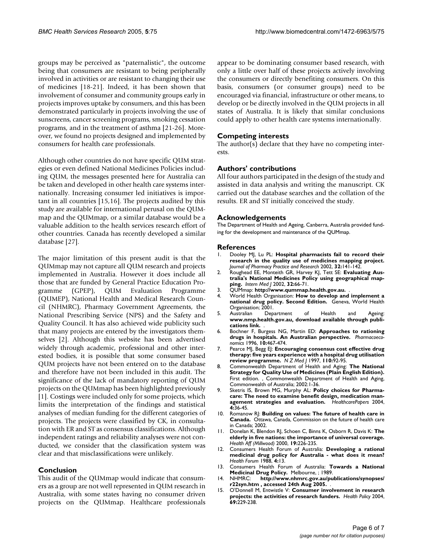groups may be perceived as "paternalistic", the outcome being that consumers are resistant to being peripherally involved in activities or are resistant to changing their use of medicines [18-21]. Indeed, it has been shown that involvement of consumer and community groups early in projects improves uptake by consumers, and this has been demonstrated particularly in projects involving the use of sunscreens, cancer screening programs, smoking cessation programs, and in the treatment of asthma [21-26]. Moreover, we found no projects designed and implemented by consumers for health care professionals.

Although other countries do not have specific QUM strategies or even defined National Medicines Policies including QUM, the messages presented here for Australia can be taken and developed in other health care systems internationally. Increasing consumer led initiatives is important in all countries [15,16]. The projects audited by this study are available for international perusal on the QUMmap and the QUMmap, or a similar database would be a valuable addition to the health services research effort of other countries. Canada has recently developed a similar database [27].

The major limitation of this present audit is that the QUMmap may not capture all QUM research and projects implemented in Australia. However it does include all those that are funded by General Practice Education Programme (GPEP), QUM Evaluation Programme (QUMEP), National Health and Medical Research Council (NHMRC), Pharmacy Government Agreements, the National Prescribing Service (NPS) and the Safety and Quality Council. It has also achieved wide publicity such that many projects are entered by the investigators themselves [2]. Although this website has been advertised widely through academic, professional and other interested bodies, it is possible that some consumer based QUM projects have not been entered on to the database and therefore have not been included in this audit. The significance of the lack of mandatory reporting of QUM projects on the QUMmap has been highlighted previously [1]. Costings were included only for some projects, which limits the interpretation of the findings and statistical analyses of median funding for the different categories of projects. The projects were classified by CK, in consultation with ER and ST as consensus classifications. Although independent ratings and reliability analyses were not conducted, we consider that the classification system was clear and that misclassifications were unlikely.

#### **Conclusion**

This audit of the QUMmap would indicate that consumers as a group are not well represented in QUM research in Australia, with some states having no consumer driven projects on the QUMmap. Healthcare professionals appear to be dominating consumer based research, with only a little over half of these projects actively involving the consumers or directly benefiting consumers. On this basis, consumers (or consumer groups) need to be encouraged via financial, infrastructure or other means, to develop or be directly involved in the QUM projects in all states of Australia. It is likely that similar conclusions could apply to other health care systems internationally.

#### **Competing interests**

The author(s) declare that they have no competing interests.

#### **Authors' contributions**

All four authors participated in the design of the study and assisted in data analysis and writing the manuscript. CK carried out the database searches and the collation of the results. ER and ST initially conceived the study.

#### **Acknowledgements**

The Department of Health and Ageing, Canberra, Australia provided funding for the development and maintenance of the QUMmap.

#### **References**

- 1. Dooley MJ, Lu PL: **Hospital pharmacists fail to record their research in the quality use of medicines mapping project.** *Journal of Pharmacy Practice and Research* 2002, **32:**141-142.
- 2. Roughead EE, Monteith GR, Harvey KJ, Tett SE: **[Evaluating Aus](http://www.ncbi.nlm.nih.gov/entrez/query.fcgi?cmd=Retrieve&db=PubMed&dopt=Abstract&list_uids=11885845)[tralia's National Medicines Policy using geographical map](http://www.ncbi.nlm.nih.gov/entrez/query.fcgi?cmd=Retrieve&db=PubMed&dopt=Abstract&list_uids=11885845)[ping.](http://www.ncbi.nlm.nih.gov/entrez/query.fcgi?cmd=Retrieve&db=PubMed&dopt=Abstract&list_uids=11885845)** *Intern Med J* 2002, **32:**66-71.
- 3. QUMmap: **http://www.qummap.health.gov.au.** .
- 4. World Health Organisation: **How to develop and implement a national drug policy. Second Edition.** Geneva, World Health Organisation; 2001.
- 5. Australian Department of Health and Ageing: **www.nmp.health.gov.au, download available through publications link.** .
- 6. Bochner F, Burgess NG, Martin ED: **[Approaches to rationing](http://www.ncbi.nlm.nih.gov/entrez/query.fcgi?cmd=Retrieve&db=PubMed&dopt=Abstract&list_uids=10163628) [drugs in hospitals. An Australian perspective.](http://www.ncbi.nlm.nih.gov/entrez/query.fcgi?cmd=Retrieve&db=PubMed&dopt=Abstract&list_uids=10163628)** *Pharmacoeconomics* 1996, **10:**467-474.
- 7. Pearce MJ, Begg EJ: **[Encouraging consensus cost effective drug](http://www.ncbi.nlm.nih.gov/entrez/query.fcgi?cmd=Retrieve&db=PubMed&dopt=Abstract&list_uids=9137310) [therapy: five years experience with a hospital drug utilisation](http://www.ncbi.nlm.nih.gov/entrez/query.fcgi?cmd=Retrieve&db=PubMed&dopt=Abstract&list_uids=9137310) [review programme.](http://www.ncbi.nlm.nih.gov/entrez/query.fcgi?cmd=Retrieve&db=PubMed&dopt=Abstract&list_uids=9137310)** *N Z Med J* 1997, **110:**92-95.
- 8. Commonwealth Department of Health and Aging: **The National Strategy for Quality Use of Medicines (Plain English Edition).** First edition. , Commonwealth Department of Health and Aging, Commonwealth of Australia; 2002:1-36.
- 9. Sketris IS, Brown MG, Murphy AL: **[Policy choices for Pharma](http://www.ncbi.nlm.nih.gov/entrez/query.fcgi?cmd=Retrieve&db=PubMed&dopt=Abstract&list_uids=15114068)[care: The need to examine benefit design, medication man](http://www.ncbi.nlm.nih.gov/entrez/query.fcgi?cmd=Retrieve&db=PubMed&dopt=Abstract&list_uids=15114068)**[agement strategies and evaluation.](http://www.ncbi.nlm.nih.gov/entrez/query.fcgi?cmd=Retrieve&db=PubMed&dopt=Abstract&list_uids=15114068) **4:**36-45.
- 10. Romanow RJ: **[Building on values: The future of health care in](http://www.ncbi.nlm.nih.gov/entrez/query.fcgi?cmd=Retrieve&db=PubMed&dopt=Abstract&list_uids=11861605) [Canada.](http://www.ncbi.nlm.nih.gov/entrez/query.fcgi?cmd=Retrieve&db=PubMed&dopt=Abstract&list_uids=11861605)** Ottawa, Canada, Commission on the future of health care in Canada; 2002.
- 11. Donelan K, Blendon RJ, Schoen C, Binns K, Osborn R, Davis K: **[The](http://www.ncbi.nlm.nih.gov/entrez/query.fcgi?cmd=Retrieve&db=PubMed&dopt=Abstract&list_uids=10812802) [elderly in five nations: the importance of universal coverage.](http://www.ncbi.nlm.nih.gov/entrez/query.fcgi?cmd=Retrieve&db=PubMed&dopt=Abstract&list_uids=10812802)** *Health Aff (Millwood)* 2000, **19:**226-235.
- 12. Consumers Health Forum of Australia: **Developing a rational medicinal drug policy for Australia - what does it mean?** *Health Forum* 1988, **4:**13.
- 13. Consumers Health Forum of Australia: **Towards a National Medicinal Drug Policy.** Melbourne, ; 1989.<br>14. NHMRC: http://www.nhmrc.gov.au/pu
- http://www.nhmrc.gov.au/publications/synopses/ **r22syn.htm , accessed 24th Aug 2005.** .
- 15. O'Donnell M, Entwistle V: **[Consumer involvement in research](http://www.ncbi.nlm.nih.gov/entrez/query.fcgi?cmd=Retrieve&db=PubMed&dopt=Abstract&list_uids=15212869) [projects: the activities of research funders.](http://www.ncbi.nlm.nih.gov/entrez/query.fcgi?cmd=Retrieve&db=PubMed&dopt=Abstract&list_uids=15212869)** *Health Policy* 2004, **69:**229-238.